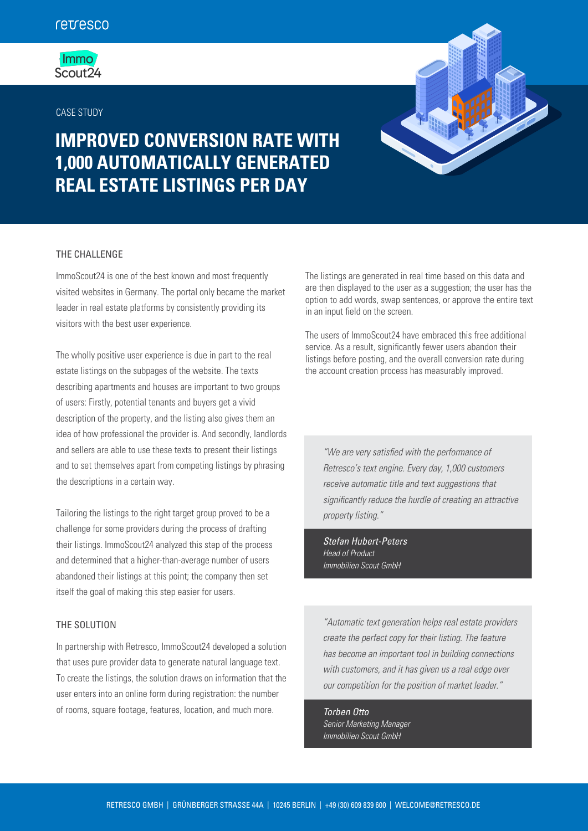## **Immo**  $S$ cout $24$

### CASE STUDY





# THE CHALLENGE

ImmoScout24 is one of the best known and most frequently visited websites in Germany. The portal only became the market leader in real estate platforms by consistently providing its visitors with the best user experience.

The wholly positive user experience is due in part to the real estate listings on the subpages of the website. The texts describing apartments and houses are important to two groups of users: Firstly, potential tenants and buyers get a vivid description of the property, and the listing also gives them an idea of how professional the provider is. And secondly, landlords and sellers are able to use these texts to present their listings and to set themselves apart from competing listings by phrasing the descriptions in a certain way.

Tailoring the listings to the right target group proved to be a challenge for some providers during the process of drafting their listings. ImmoScout24 analyzed this step of the process and determined that a higher-than-average number of users abandoned their listings at this point; the company then set itself the goal of making this step easier for users.

# THE SOLUTION

In partnership with Retresco, ImmoScout24 developed a solution that uses pure provider data to generate natural language text. To create the listings, the solution draws on information that the user enters into an online form during registration: the number of rooms, square footage, features, location, and much more.

The listings are generated in real time based on this data and are then displayed to the user as a suggestion; the user has the option to add words, swap sentences, or approve the entire text in an input field on the screen.

The users of ImmoScout24 have embraced this free additional service. As a result, significantly fewer users abandon their listings before posting, and the overall conversion rate during the account creation process has measurably improved.

*"We are very satised with the performance of Retresco's text engine. Every day, 1,000 customers receive automatic title and text suggestions that signicantly reduce the hurdle of creating an attractive property listing."*

*Stefan Hubert-Peters Head of Product Immobilien Scout GmbH* 

*"Automatic text generation helps real estate providers create the perfect copy for their listing. The feature has become an important tool in building connections with customers, and it has given us a real edge over our competition for the position of market leader."*

*Torben Otto Senior Marketing Manager Immobilien Scout GmbH*